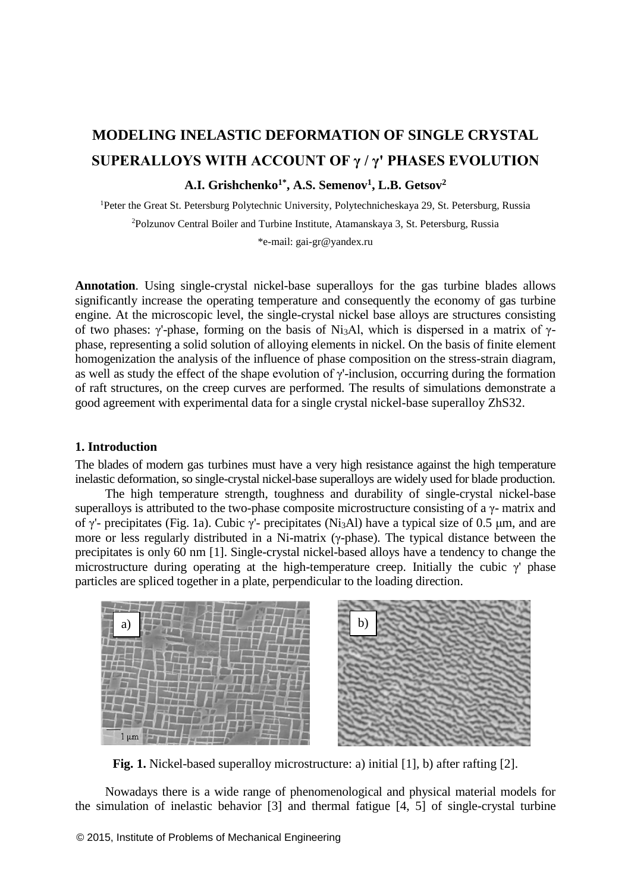# **MODELING INELASTIC DEFORMATION OF SINGLE CRYSTAL SUPERALLOYS WITH ACCOUNT OF γ / γ' PHASES EVOLUTION A.I. Grishchenko1\*, A.S. Semenov<sup>1</sup> , L.B. Getsov<sup>2</sup>**

<sup>1</sup>Peter the Great St. Petersburg Polytechnic University, Polytechnicheskaya 29, St. Petersburg, Russia <sup>2</sup>Polzunov Central Boiler and Turbine Institute, Atamanskaya 3, St. Petersburg, Russia

\*e-mail: gai-gr@yandex.ru

**Annotation**. Using single-crystal nickel-base superalloys for the gas turbine blades allows significantly increase the operating temperature and consequently the economy of gas turbine engine. At the microscopic level, the single-crystal nickel base alloys are structures consisting of two phases: γ'-phase, forming on the basis of Ni<sub>3</sub>Al, which is dispersed in a matrix of γphase, representing a solid solution of alloying elements in nickel. On the basis of finite element homogenization the analysis of the influence of phase composition on the stress-strain diagram, as well as study the effect of the shape evolution of γ'-inclusion, occurring during the formation of raft structures, on the creep curves are performed. The results of simulations demonstrate a good agreement with experimental data for a single crystal nickel-base superalloy ZhS32.

### **1. Introduction**

The blades of modern gas turbines must have a very high resistance against the high temperature inelastic deformation, so single-crystal nickel-base superalloys are widely used for blade production.

The high temperature strength, toughness and durability of single-crystal nickel-base superalloys is attributed to the two-phase composite microstructure consisting of a  $\gamma$ - matrix and of γ'- precipitates (Fig. 1a). Cubic γ'- precipitates (Ni3Al) have a typical size of 0.5 μm, and are more or less regularly distributed in a Ni-matrix (γ-phase). The typical distance between the precipitates is only 60 nm [1]. Single-crystal nickel-based alloys have a tendency to change the microstructure during operating at the high-temperature creep. Initially the cubic γ' phase particles are spliced together in a plate, perpendicular to the loading direction.



Fig. 1. Nickel-based superalloy microstructure: a) initial [1], b) after rafting [2].

Nowadays there is a wide range of phenomenological and physical material models for the simulation of inelastic behavior [3] and thermal fatigue [4, 5] of single-crystal turbine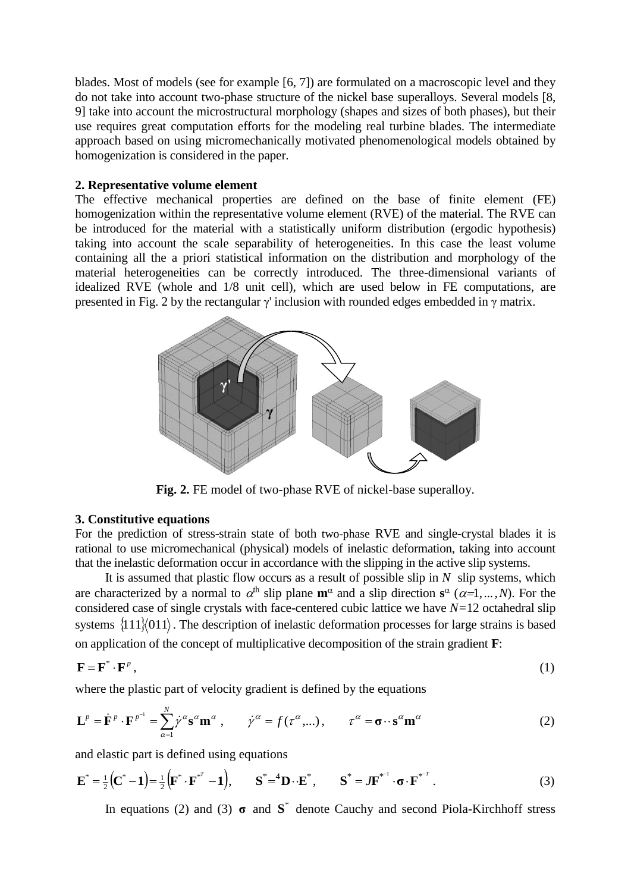blades. Most of models (see for example [6, 7]) are formulated on a macroscopic level and they do not take into account two-phase structure of the nickel base superalloys. Several models [8, 9] take into account the microstructural morphology (shapes and sizes of both phases), but their use requires great computation efforts for the modeling real turbine blades. The intermediate approach based on using micromechanically motivated phenomenological models obtained by homogenization is considered in the paper.

# **2. Representative volume element**

The effective mechanical properties are defined on the base of finite element (FE) homogenization within the representative volume element (RVE) of the material. The RVE can be introduced for the material with a statistically uniform distribution (ergodic hypothesis) taking into account the scale separability of heterogeneities. In this case the least volume containing all the a priori statistical information on the distribution and morphology of the material heterogeneities can be correctly introduced. The three-dimensional variants of idealized RVE (whole and 1/8 unit cell), which are used below in FE computations, are presented in Fig. 2 by the rectangular  $\gamma$  inclusion with rounded edges embedded in  $\gamma$  matrix.



**Fig. 2.** FE model of two-phase RVE of nickel-base superalloy.

# **3. Constitutive equations**

For the prediction of stress-strain state of both two-phase RVE and single-crystal blades it is rational to use micromechanical (physical) models of inelastic deformation, taking into account that the inelastic deformation occur in accordance with the slipping in the active slip systems.

It is assumed that plastic flow occurs as a result of possible slip in *N* slip systems, which are characterized by a normal to  $\alpha^{\text{th}}$  slip plane  $\mathbf{m}^{\alpha}$  and a slip direction  $\mathbf{s}^{\alpha}$  ( $\alpha=1,...,N$ ). For the considered case of single crystals with face-centered cubic lattice we have  $N=12$  octahedral slip systems  $\{111\}$  $\{011\}$ . The description of inelastic deformation processes for large strains is based on application of the concept of multiplicative decomposition of the strain gradient **F**:

$$
\mathbf{F} = \mathbf{F}^* \cdot \mathbf{F}^p \,, \tag{1}
$$

where the plastic part of velocity gradient is defined by the equations

$$
\mathbf{L}^{p} = \dot{\mathbf{F}}^{p} \cdot \mathbf{F}^{p^{-1}} = \sum_{\alpha=1}^{N} \dot{\gamma}^{\alpha} \mathbf{s}^{\alpha} \mathbf{m}^{\alpha} , \qquad \dot{\gamma}^{\alpha} = f(\tau^{\alpha}, \dots), \qquad \tau^{\alpha} = \boldsymbol{\sigma} \cdot \mathbf{s}^{\alpha} \mathbf{m}^{\alpha}
$$
 (2)

and elastic part is defined using equations

$$
\mathbf{E}^* = \frac{1}{2} \left( \mathbf{C}^* - \mathbf{1} \right) = \frac{1}{2} \left( \mathbf{F}^* \cdot \mathbf{F}^{*T} - \mathbf{1} \right), \qquad \mathbf{S}^* = \mathbf{D} \cdot \mathbf{E}^*, \qquad \mathbf{S}^* = J \mathbf{F}^{*T} \cdot \mathbf{\sigma} \cdot \mathbf{F}^{*T} \tag{3}
$$

In equations (2) and (3)  $\sigma$  and  $S^*$  denote Cauchy and second Piola-Kirchhoff stress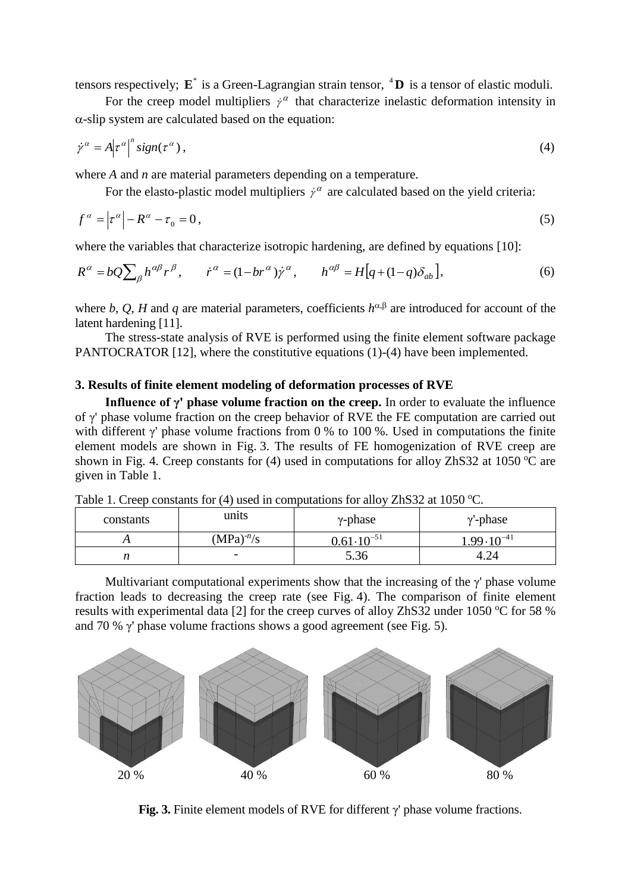tensors respectively;  $\mathbf{E}^*$  is a Green-Lagrangian strain tensor, <sup>4</sup>D is a tensor of elastic moduli.

For the creep model multipliers  $\dot{y}^{\alpha}$  that characterize inelastic deformation intensity in  $\alpha$ -slip system are calculated based on the equation:

$$
\dot{\gamma}^{\alpha} = A |\tau^{\alpha}|^{n} sign(\tau^{\alpha}), \qquad (4)
$$

where *A* and *n* are material parameters depending on a temperature.

For the elasto-plastic model multipliers  $\dot{y}^{\alpha}$  are calculated based on the yield criteria:

$$
f^{\alpha} = \left| \tau^{\alpha} \right| - R^{\alpha} - \tau_0 = 0, \tag{5}
$$

where the variables that characterize isotropic hardening, are defined by equations [10]:

$$
R^{\alpha} = bQ \sum_{\beta} h^{\alpha\beta} r^{\beta}, \qquad \dot{r}^{\alpha} = (1 - br^{\alpha}) \dot{r}^{\alpha}, \qquad h^{\alpha\beta} = H[q + (1 - q)\delta_{ab}], \tag{6}
$$

where *b*, *Q*, *H* and *q* are material parameters, coefficients  $h^{\alpha,\beta}$  are introduced for account of the latent hardening [11].

The stress-state analysis of RVE is performed using the finite element software package PANTOCRATOR [12], where the constitutive equations (1)-(4) have been implemented.

#### **3. Results of finite element modeling of deformation processes of RVE**

**Influence of γ' phase volume fraction on the creep.** In order to evaluate the influence of γ' phase volume fraction on the creep behavior of RVE the FE computation are carried out with different  $\gamma$ ' phase volume fractions from 0 % to 100 %. Used in computations the finite element models are shown in Fig. 3. The results of FE homogenization of RVE creep are shown in Fig. 4. Creep constants for (4) used in computations for alloy ZhS32 at 1050  $^{\circ}$ C are given in Table 1.

| constants | units                    | $\gamma$ -phase                | $\gamma$ -phase      |
|-----------|--------------------------|--------------------------------|----------------------|
|           | $(MPa)^{-n}/s$           | 0.61 $\cdot$ 10 <sup>-51</sup> | $10^{-41}$<br>$QQ$ . |
| n         | $\overline{\phantom{0}}$ | 5.36                           | 4.24                 |

Table 1. Creep constants for (4) used in computations for alloy ZhS32 at 1050  $^{\circ}$ C.

Multivariant computational experiments show that the increasing of the  $\gamma$ ' phase volume fraction leads to decreasing the creep rate (see Fig. 4). The comparison of finite element results with experimental data [2] for the creep curves of alloy ZhS32 under 1050  $\degree$ C for 58 % and 70 % γ' phase volume fractions shows a good agreement (see Fig. 5).



**Fig. 3.** Finite element models of RVE for different γ' phase volume fractions.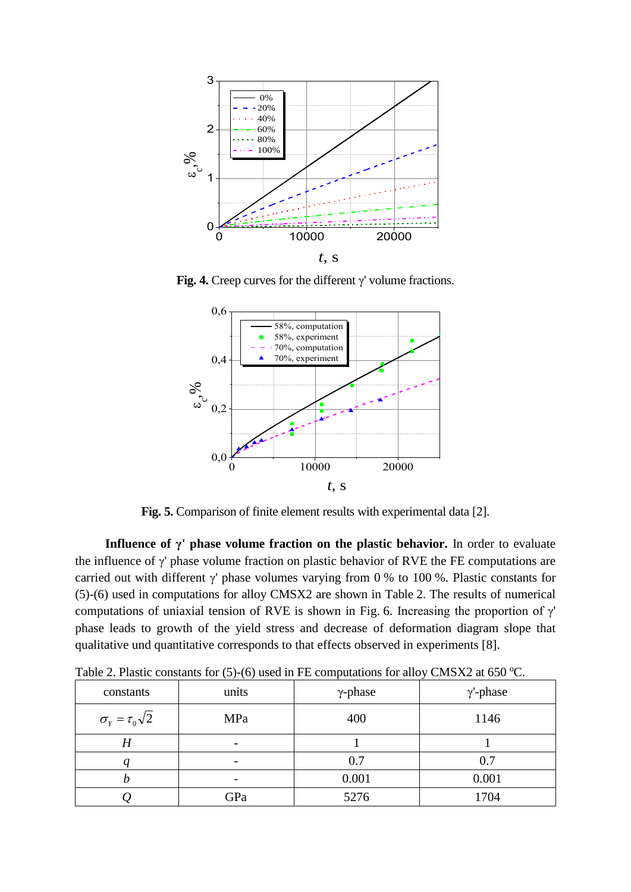

**Fig. 4.** Creep curves for the different γ' volume fractions.



**Fig. 5.** Comparison of finite element results with experimental data [2].

**Influence of γ' phase volume fraction on the plastic behavior.** In order to evaluate the influence of γ' phase volume fraction on plastic behavior of RVE the FE computations are carried out with different  $\gamma$ ' phase volumes varying from 0 % to 100 %. Plastic constants for (5)-(6) used in computations for alloy CMSX2 are shown in Table 2. The results of numerical computations of uniaxial tension of RVE is shown in Fig. 6. Increasing the proportion of  $\gamma'$ phase leads to growth of the yield stress and decrease of deformation diagram slope that qualitative und quantitative corresponds to that effects observed in experiments [8].

|                                          | $\cdots$                 |                 | $\checkmark$    |
|------------------------------------------|--------------------------|-----------------|-----------------|
| constants                                | units                    | $\gamma$ -phase | $\gamma$ -phase |
| $\sigma_{\rm r} = \tau_{\rm 0} \sqrt{2}$ | MPa                      | 400             | 1146            |
| Η                                        | $\overline{\phantom{0}}$ |                 |                 |
|                                          | $\overline{\phantom{0}}$ | 0.7             | 0.7             |
| Ŋ                                        |                          | 0.001           | 0.001           |
| ∠                                        | GPa                      | 5276            | 1704            |

Table 2. Plastic constants for  $(5)-(6)$  used in FE computations for alloy CMSX2 at 650 °C.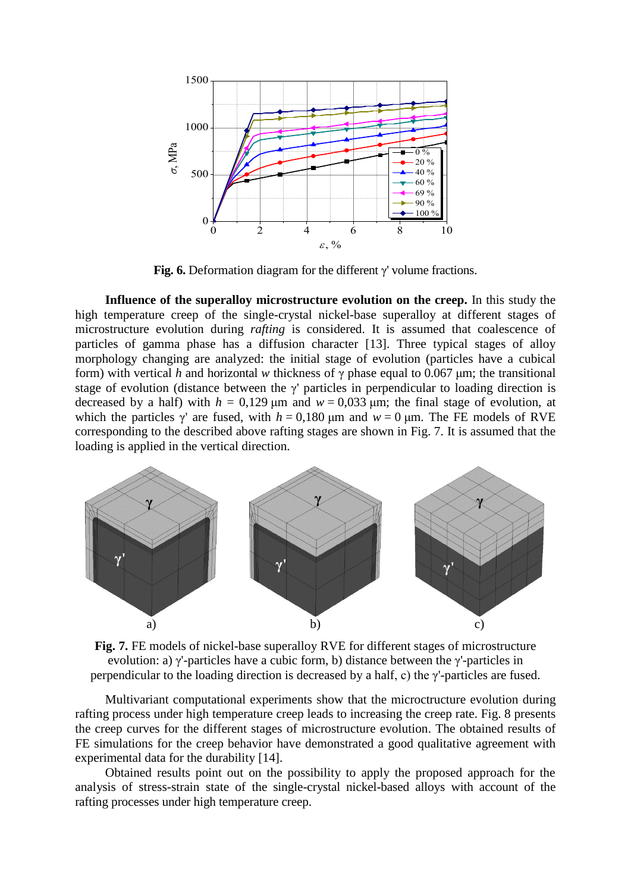

**Fig. 6.** Deformation diagram for the different γ' volume fractions.

**Influence of the superalloy microstructure evolution on the creep.** In this study the high temperature creep of the single-crystal nickel-base superalloy at different stages of microstructure evolution during *rafting* is considered. It is assumed that coalescence of particles of gamma phase has a diffusion character [13]. Three typical stages of alloy morphology changing are analyzed: the initial stage of evolution (particles have a cubical form) with vertical *h* and horizontal *w* thickness of γ phase equal to 0.067 μm; the transitional stage of evolution (distance between the  $\gamma$ ' particles in perpendicular to loading direction is decreased by a half) with  $h = 0.129$  um and  $w = 0.033$  um; the final stage of evolution, at which the particles  $\gamma$  are fused, with  $h = 0.180 \,\mu \text{m}$  and  $w = 0 \,\mu \text{m}$ . The FE models of RVE corresponding to the described above rafting stages are shown in Fig. 7. It is assumed that the loading is applied in the vertical direction.



**Fig. 7.** FE models of nickel-base superalloy RVE for different stages of microstructure evolution: a) γ'-particles have a cubic form, b) distance between the γ'-particles in perpendicular to the loading direction is decreased by a half, c) the  $\gamma$ -particles are fused.

Multivariant computational experiments show that the microctructure evolution during rafting process under high temperature creep leads to increasing the creep rate. Fig. 8 presents the creep curves for the different stages of microstructure evolution. The obtained results of FE simulations for the creep behavior have demonstrated a good qualitative agreement with experimental data for the durability [14].

Obtained results point out on the possibility to apply the proposed approach for the analysis of stress-strain state of the single-crystal nickel-based alloys with account of the rafting processes under high temperature creep.